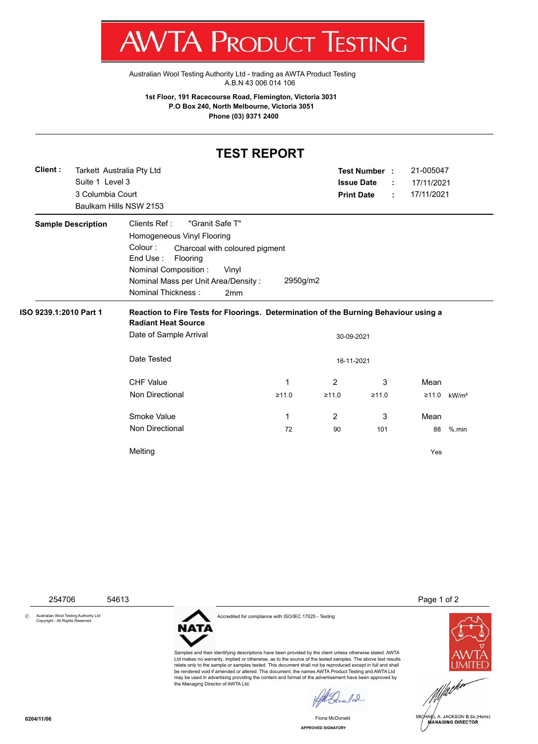T WV I/VI RUDUCT IESHING

[Australian Wool Testing Authority Ltd - trading as AWTA Product Testing](http://www.awtaproducttesting.com.au/) A.B.N 43 006 014 106

**1st Floor, 191 Racecourse Road, Flemington, Victoria 3031 P.O Box 240, North Melbourne, Victoria 3051 Phone (03) 9371 2400**

## **TEST REPORT**

|                           |                        | Tarkett Australia Pty Ltd                                         |            | Test Number :     |       | 21-005047  |                   |  |
|---------------------------|------------------------|-------------------------------------------------------------------|------------|-------------------|-------|------------|-------------------|--|
|                           | Suite 1 Level 3        |                                                                   |            | <b>Issue Date</b> | ÷     | 17/11/2021 |                   |  |
|                           | 3 Columbia Court       |                                                                   |            | <b>Print Date</b> | ÷     | 17/11/2021 |                   |  |
|                           | Baulkam Hills NSW 2153 |                                                                   |            |                   |       |            |                   |  |
| <b>Sample Description</b> |                        | Clients Ref:<br>"Granit Safe T"                                   |            |                   |       |            |                   |  |
|                           |                        | Homogeneous Vinyl Flooring                                        |            |                   |       |            |                   |  |
|                           |                        | Colour:<br>Charcoal with coloured pigment<br>End Use:<br>Flooring |            |                   |       |            |                   |  |
|                           |                        | Nominal Composition :<br>Vinyl                                    |            |                   |       |            |                   |  |
|                           |                        | Nominal Mass per Unit Area/Density:                               | 2950g/m2   |                   |       |            |                   |  |
|                           |                        | Nominal Thickness:<br>2mm                                         |            |                   |       |            |                   |  |
|                           |                        |                                                                   | 30-09-2021 |                   |       |            |                   |  |
|                           |                        | <b>Radiant Heat Source</b><br>Date of Sample Arrival              |            |                   |       |            |                   |  |
|                           |                        | Date Tested                                                       |            | 16-11-2021        |       |            |                   |  |
|                           |                        | <b>CHF Value</b>                                                  | 1          | $\overline{2}$    | 3     | Mean       |                   |  |
|                           |                        | Non Directional                                                   | ≥11.0      | ≥11.0             | ≥11.0 | ≥11.0      | kW/m <sup>2</sup> |  |
|                           |                        | Smoke Value                                                       | 1          | $\overline{2}$    | 3     | Mean       |                   |  |
|                           |                        | Non Directional                                                   | 72         | 90                | 101   | 88         | $%$ .min          |  |

© Australian Wool Testing Authority Ltd Copyright - All Rights Reserved



Accredited for compliance with ISO/IEC 17025 - Testing

Samples and their identifying descriptions have been provided by the client unless otherwise stated. AWTA Ltd makes no warranty, implied or otherwise, as to the source of the tested samples. The above test results relate only to the sample or samples tested. This document shall not be reproduced except in full and shall be rendered void if amended or altered. This document, the names AWTA Product Testing and AWTA Ltd may be used in advertising providing the content and format of the advertisement have been approved by the Managing Director of AWTA Ltd.

 $\sqrt{2}$ 

Fiona McDonald

254706 54613 **Page 1 of 2** 





**APPROVED SIGNATORY**